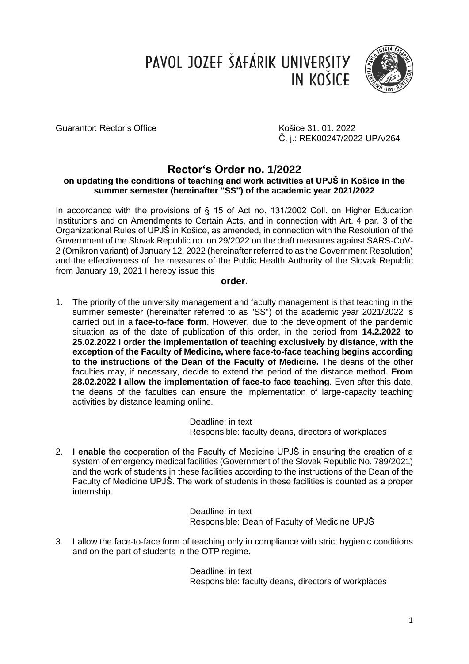PAVOL JOZEF ŠAFÁRIK UNIVERSITY IN KOŠICE



Guarantor: Rector's Office Contract Controller Rector's Office And American Controller Rector's Office 31.01.2022

Č. j.: REK00247/2022-UPA/264

# **Rector's Order no. 1/2022**

## **on updating the conditions of teaching and work activities at UPJŠ in Košice in the summer semester (hereinafter "SS") of the academic year 2021/2022**

In accordance with the provisions of § 15 of Act no. 131/2002 Coll. on Higher Education Institutions and on Amendments to Certain Acts, and in connection with Art. 4 par. 3 of the Organizational Rules of UPJŠ in Košice, as amended, in connection with the Resolution of the Government of the Slovak Republic no. on 29/2022 on the draft measures against SARS-CoV-2 (Omikron variant) of January 12, 2022 (hereinafter referred to as the Government Resolution) and the effectiveness of the measures of the Public Health Authority of the Slovak Republic from January 19, 2021 I hereby issue this

## **order.**

1. The priority of the university management and faculty management is that teaching in the summer semester (hereinafter referred to as "SS") of the academic year 2021/2022 is carried out in a **face-to-face form**. However, due to the development of the pandemic situation as of the date of publication of this order, in the period from **14.2.2022 to 25.02.2022 I order the implementation of teaching exclusively by distance, with the exception of the Faculty of Medicine, where face-to-face teaching begins according to the instructions of the Dean of the Faculty of Medicine.** The deans of the other faculties may, if necessary, decide to extend the period of the distance method. **From 28.02.2022 I allow the implementation of face-to face teaching**. Even after this date, the deans of the faculties can ensure the implementation of large-capacity teaching activities by distance learning online.

> Deadline: in text Responsible: faculty deans, directors of workplaces

2. **I enable** the cooperation of the Faculty of Medicine UPJŠ in ensuring the creation of a system of emergency medical facilities (Government of the Slovak Republic No. 789/2021) and the work of students in these facilities according to the instructions of the Dean of the Faculty of Medicine UPJŠ. The work of students in these facilities is counted as a proper internship.

> Deadline: in text Responsible: Dean of Faculty of Medicine UPJŠ

3. I allow the face-to-face form of teaching only in compliance with strict hygienic conditions and on the part of students in the OTP regime.

> Deadline: in text Responsible: faculty deans, directors of workplaces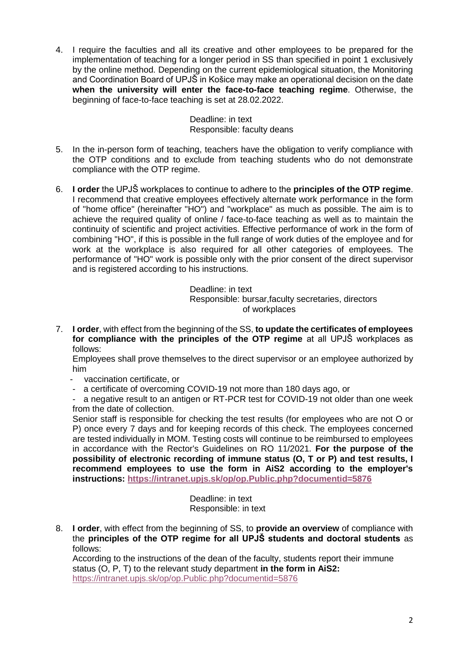4. I require the faculties and all its creative and other employees to be prepared for the implementation of teaching for a longer period in SS than specified in point 1 exclusively by the online method. Depending on the current epidemiological situation, the Monitoring and Coordination Board of UPJŠ in Košice may make an operational decision on the date **when the university will enter the face-to-face teaching regime**. Otherwise, the beginning of face-to-face teaching is set at 28.02.2022.

> Deadline: in text Responsible: faculty deans

- 5. In the in-person form of teaching, teachers have the obligation to verify compliance with the OTP conditions and to exclude from teaching students who do not demonstrate compliance with the OTP regime.
- 6. **I order** the UPJŠ workplaces to continue to adhere to the **principles of the OTP regime**. I recommend that creative employees effectively alternate work performance in the form of "home office" (hereinafter "HO") and "workplace" as much as possible. The aim is to achieve the required quality of online / face-to-face teaching as well as to maintain the continuity of scientific and project activities. Effective performance of work in the form of combining "HO", if this is possible in the full range of work duties of the employee and for work at the workplace is also required for all other categories of employees. The performance of "HO" work is possible only with the prior consent of the direct supervisor and is registered according to his instructions.

Deadline: in text

Responsible: bursar,faculty secretaries, directors of workplaces

7. **I order**, with effect from the beginning of the SS, **to update the certificates of employees for compliance with the principles of the OTP regime** at all UPJŠ workplaces as follows:

Employees shall prove themselves to the direct supervisor or an employee authorized by him

- vaccination certificate, or
- a certificate of overcoming COVID-19 not more than 180 days ago, or

a negative result to an antigen or RT-PCR test for COVID-19 not older than one week from the date of collection.

Senior staff is responsible for checking the test results (for employees who are not O or P) once every 7 days and for keeping records of this check. The employees concerned are tested individually in MOM. Testing costs will continue to be reimbursed to employees in accordance with the Rector's Guidelines on RO 11/2021. **For the purpose of the possibility of electronic recording of immune status (O, T or P) and test results, I recommend employees to use the form in AiS2 according to the employer's instructions: <https://intranet.upjs.sk/op/op.Public.php?documentid=5876>**

> Deadline: in text Responsible: in text

8. **I order**, with effect from the beginning of SS, to **provide an overview** of compliance with the **principles of the OTP regime for all UPJŠ students and doctoral students** as follows:

According to the instructions of the dean of the faculty, students report their immune status (O, P, T) to the relevant study department **in the form in AiS2:** <https://intranet.upjs.sk/op/op.Public.php?documentid=5876>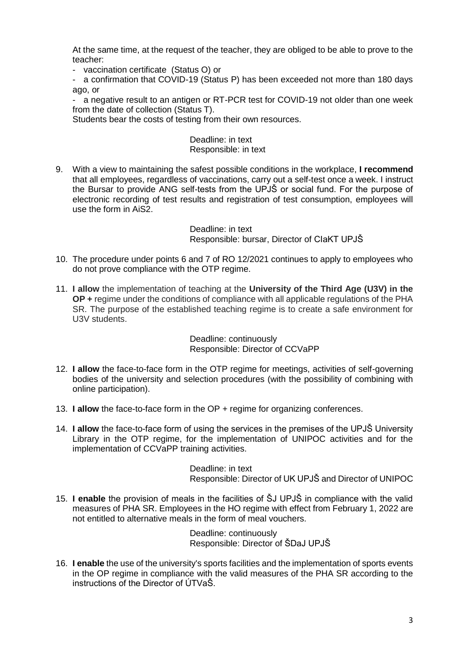At the same time, at the request of the teacher, they are obliged to be able to prove to the teacher:

- vaccination certificate (Status O) or

a confirmation that COVID-19 (Status P) has been exceeded not more than 180 days ago, or

- a negative result to an antigen or RT-PCR test for COVID-19 not older than one week from the date of collection (Status T).

Students bear the costs of testing from their own resources.

Deadline: in text Responsible: in text

9. With a view to maintaining the safest possible conditions in the workplace, **I recommend** that all employees, regardless of vaccinations, carry out a self-test once a week. I instruct the Bursar to provide ANG self-tests from the UPJŠ or social fund. For the purpose of electronic recording of test results and registration of test consumption, employees will use the form in AiS2.

> Deadline: in text Responsible: bursar, Director of CIaKT UPJŠ

- 10. The procedure under points 6 and 7 of RO 12/2021 continues to apply to employees who do not prove compliance with the OTP regime.
- 11. **I allow** the implementation of teaching at the **University of the Third Age (U3V) in the OP +** regime under the conditions of compliance with all applicable regulations of the PHA SR. The purpose of the established teaching regime is to create a safe environment for U3V students.

Deadline: continuously Responsible: Director of CCVaPP

- 12. **I allow** the face-to-face form in the OTP regime for meetings, activities of self-governing bodies of the university and selection procedures (with the possibility of combining with online participation).
- 13. **I allow** the face-to-face form in the OP + regime for organizing conferences.
- 14. **I allow** the face-to-face form of using the services in the premises of the UPJŠ University Library in the OTP regime, for the implementation of UNIPOC activities and for the implementation of CCVaPP training activities.

Deadline: in text Responsible: Director of UK UPJŠ and Director of UNIPOC

15. **I enable** the provision of meals in the facilities of ŠJ UPJŠ in compliance with the valid measures of PHA SR. Employees in the HO regime with effect from February 1, 2022 are not entitled to alternative meals in the form of meal vouchers.

> Deadline: continuously Responsible: Director of ŠDaJ UPJŠ

16. **I enable** the use of the university's sports facilities and the implementation of sports events in the OP regime in compliance with the valid measures of the PHA SR according to the instructions of the Director of ÚTVaŠ.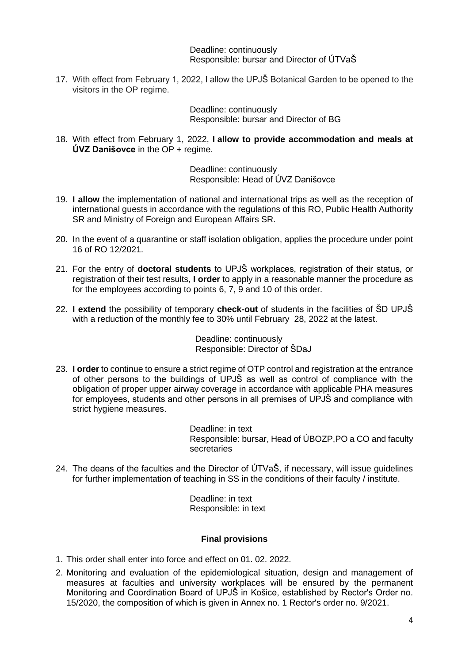Deadline: continuously Responsible: bursar and Director of ÚTVaŠ

17. With effect from February 1, 2022, I allow the UPJŠ Botanical Garden to be opened to the visitors in the OP regime.

> Deadline: continuously Responsible: bursar and Director of BG

18. With effect from February 1, 2022, **I allow to provide accommodation and meals at ÚVZ Danišovce** in the OP + regime.

> Deadline: continuously Responsible: Head of ÚVZ Danišovce

- 19. **I allow** the implementation of national and international trips as well as the reception of international guests in accordance with the regulations of this RO, Public Health Authority SR and Ministry of Foreign and European Affairs SR.
- 20. In the event of a quarantine or staff isolation obligation, applies the procedure under point 16 of RO 12/2021.
- 21. For the entry of **doctoral students** to UPJŠ workplaces, registration of their status, or registration of their test results, **I order** to apply in a reasonable manner the procedure as for the employees according to points 6, 7, 9 and 10 of this order.
- 22. **I extend** the possibility of temporary **check-out** of students in the facilities of ŠD UPJŠ with a reduction of the monthly fee to 30% until February 28, 2022 at the latest.

Deadline: continuously Responsible: Director of ŠDaJ

23. **I order** to continue to ensure a strict regime of OTP control and registration at the entrance of other persons to the buildings of UPJŠ as well as control of compliance with the obligation of proper upper airway coverage in accordance with applicable PHA measures for employees, students and other persons in all premises of UPJŠ and compliance with strict hygiene measures.

> Deadline: in text Responsible: bursar, Head of ÚBOZP,PO a CO and faculty secretaries

24. The deans of the faculties and the Director of ÚTVaŠ, if necessary, will issue guidelines for further implementation of teaching in SS in the conditions of their faculty / institute.

> Deadline: in text Responsible: in text

## **Final provisions**

- 1. This order shall enter into force and effect on 01. 02. 2022.
- 2. Monitoring and evaluation of the epidemiological situation, design and management of measures at faculties and university workplaces will be ensured by the permanent Monitoring and Coordination Board of UPJŠ in Košice, established by Rector's Order no. 15/2020, the composition of which is given in Annex no. 1 Rector's order no. 9/2021.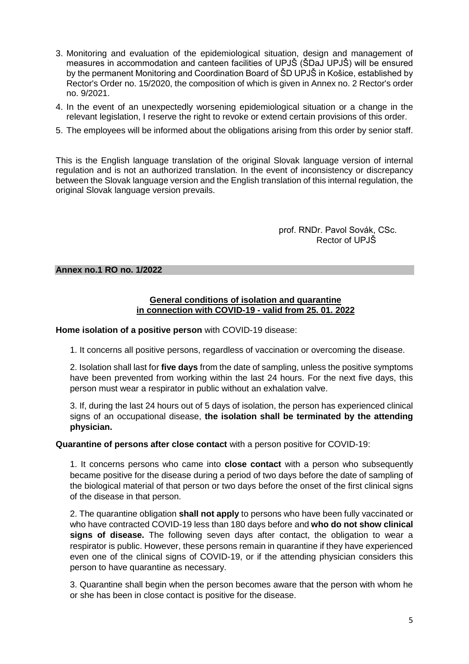- 3. Monitoring and evaluation of the epidemiological situation, design and management of measures in accommodation and canteen facilities of UPJŠ (ŠDaJ UPJŠ) will be ensured by the permanent Monitoring and Coordination Board of ŠD UPJŠ in Košice, established by Rector's Order no. 15/2020, the composition of which is given in Annex no. 2 Rector's order no. 9/2021.
- 4. In the event of an unexpectedly worsening epidemiological situation or a change in the relevant legislation, I reserve the right to revoke or extend certain provisions of this order.
- 5. The employees will be informed about the obligations arising from this order by senior staff.

This is the English language translation of the original Slovak language version of internal regulation and is not an authorized translation. In the event of inconsistency or discrepancy between the Slovak language version and the English translation of this internal regulation, the original Slovak language version prevails.

> prof. RNDr. Pavol Sovák, CSc. Rector of UPJŠ

#### **Annex no.1 RO no. 1/2022**

## **General conditions of isolation and quarantine in connection with COVID-19 - valid from 25. 01. 2022**

**Home isolation of a positive person** with COVID-19 disease:

1. It concerns all positive persons, regardless of vaccination or overcoming the disease.

2. Isolation shall last for **five days** from the date of sampling, unless the positive symptoms have been prevented from working within the last 24 hours. For the next five days, this person must wear a respirator in public without an exhalation valve.

3. If, during the last 24 hours out of 5 days of isolation, the person has experienced clinical signs of an occupational disease, **the isolation shall be terminated by the attending physician.**

#### **Quarantine of persons after close contact** with a person positive for COVID-19:

1. It concerns persons who came into **close contact** with a person who subsequently became positive for the disease during a period of two days before the date of sampling of the biological material of that person or two days before the onset of the first clinical signs of the disease in that person.

2. The quarantine obligation **shall not apply** to persons who have been fully vaccinated or who have contracted COVID-19 less than 180 days before and **who do not show clinical signs of disease.** The following seven days after contact, the obligation to wear a respirator is public. However, these persons remain in quarantine if they have experienced even one of the clinical signs of COVID-19, or if the attending physician considers this person to have quarantine as necessary.

3. Quarantine shall begin when the person becomes aware that the person with whom he or she has been in close contact is positive for the disease.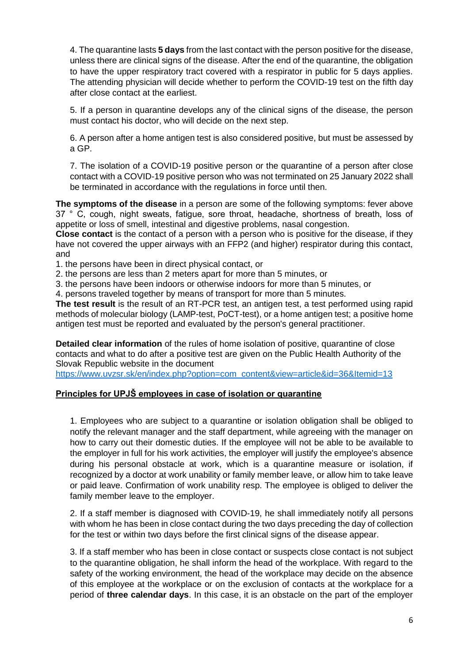4. The quarantine lasts **5 days** from the last contact with the person positive for the disease, unless there are clinical signs of the disease. After the end of the quarantine, the obligation to have the upper respiratory tract covered with a respirator in public for 5 days applies. The attending physician will decide whether to perform the COVID-19 test on the fifth day after close contact at the earliest.

5. If a person in quarantine develops any of the clinical signs of the disease, the person must contact his doctor, who will decide on the next step.

6. A person after a home antigen test is also considered positive, but must be assessed by a GP.

7. The isolation of a COVID-19 positive person or the quarantine of a person after close contact with a COVID-19 positive person who was not terminated on 25 January 2022 shall be terminated in accordance with the regulations in force until then.

**The symptoms of the disease** in a person are some of the following symptoms: fever above 37 ° C, cough, night sweats, fatigue, sore throat, headache, shortness of breath, loss of appetite or loss of smell, intestinal and digestive problems, nasal congestion.

**Close contact** is the contact of a person with a person who is positive for the disease, if they have not covered the upper airways with an FFP2 (and higher) respirator during this contact, and

1. the persons have been in direct physical contact, or

2. the persons are less than 2 meters apart for more than 5 minutes, or

3. the persons have been indoors or otherwise indoors for more than 5 minutes, or

4. persons traveled together by means of transport for more than 5 minutes.

**The test result** is the result of an RT-PCR test, an antigen test, a test performed using rapid methods of molecular biology (LAMP-test, PoCT-test), or a home antigen test; a positive home antigen test must be reported and evaluated by the person's general practitioner.

**Detailed clear information** of the rules of home isolation of positive, quarantine of close contacts and what to do after a positive test are given on the Public Health Authority of the Slovak Republic website in the document

[https://www.uvzsr.sk/en/index.php?option=com\\_content&view=article&id=36&Itemid=13](https://www.uvzsr.sk/en/index.php?option=com_content&view=article&id=36&Itemid=13)

# **Principles for UPJŠ employees in case of isolation or quarantine**

1. Employees who are subject to a quarantine or isolation obligation shall be obliged to notify the relevant manager and the staff department, while agreeing with the manager on how to carry out their domestic duties. If the employee will not be able to be available to the employer in full for his work activities, the employer will justify the employee's absence during his personal obstacle at work, which is a quarantine measure or isolation, if recognized by a doctor at work unability or family member leave, or allow him to take leave or paid leave. Confirmation of work unability resp. The employee is obliged to deliver the family member leave to the employer.

2. If a staff member is diagnosed with COVID-19, he shall immediately notify all persons with whom he has been in close contact during the two days preceding the day of collection for the test or within two days before the first clinical signs of the disease appear.

3. If a staff member who has been in close contact or suspects close contact is not subject to the quarantine obligation, he shall inform the head of the workplace. With regard to the safety of the working environment, the head of the workplace may decide on the absence of this employee at the workplace or on the exclusion of contacts at the workplace for a period of **three calendar days**. In this case, it is an obstacle on the part of the employer